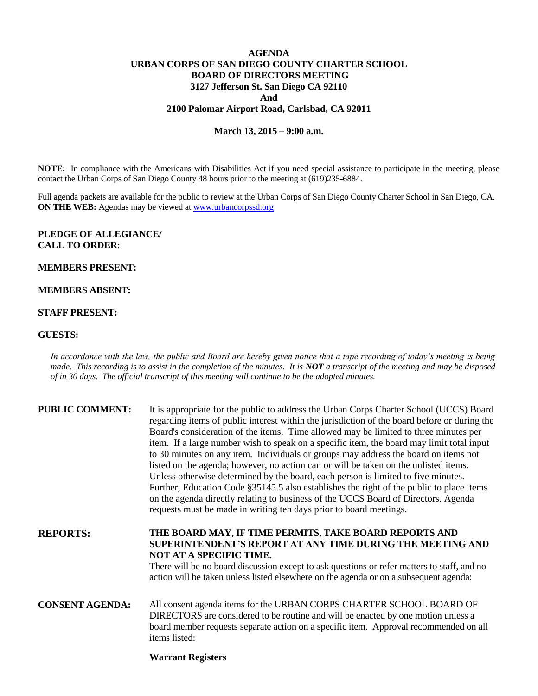# **AGENDA URBAN CORPS OF SAN DIEGO COUNTY CHARTER SCHOOL BOARD OF DIRECTORS MEETING 3127 Jefferson St. San Diego CA 92110 And 2100 Palomar Airport Road, Carlsbad, CA 92011**

## **March 13, 2015 – 9:00 a.m.**

**NOTE:** In compliance with the Americans with Disabilities Act if you need special assistance to participate in the meeting, please contact the Urban Corps of San Diego County 48 hours prior to the meeting at (619)235-6884.

Full agenda packets are available for the public to review at the Urban Corps of San Diego County Charter School in San Diego, CA. **ON THE WEB:** Agendas may be viewed at **www.urbancorpssd.org** 

## **PLEDGE OF ALLEGIANCE/ CALL TO ORDER**:

### **MEMBERS PRESENT:**

## **MEMBERS ABSENT:**

#### **STAFF PRESENT:**

## **GUESTS:**

*In accordance with the law, the public and Board are hereby given notice that a tape recording of today's meeting is being made. This recording is to assist in the completion of the minutes. It is NOT a transcript of the meeting and may be disposed of in 30 days. The official transcript of this meeting will continue to be the adopted minutes.*

| <b>PUBLIC COMMENT:</b> | It is appropriate for the public to address the Urban Corps Charter School (UCCS) Board<br>regarding items of public interest within the jurisdiction of the board before or during the<br>Board's consideration of the items. Time allowed may be limited to three minutes per<br>item. If a large number wish to speak on a specific item, the board may limit total input<br>to 30 minutes on any item. Individuals or groups may address the board on items not<br>listed on the agenda; however, no action can or will be taken on the unlisted items.<br>Unless otherwise determined by the board, each person is limited to five minutes.<br>Further, Education Code §35145.5 also establishes the right of the public to place items<br>on the agenda directly relating to business of the UCCS Board of Directors. Agenda<br>requests must be made in writing ten days prior to board meetings. |
|------------------------|----------------------------------------------------------------------------------------------------------------------------------------------------------------------------------------------------------------------------------------------------------------------------------------------------------------------------------------------------------------------------------------------------------------------------------------------------------------------------------------------------------------------------------------------------------------------------------------------------------------------------------------------------------------------------------------------------------------------------------------------------------------------------------------------------------------------------------------------------------------------------------------------------------|
| <b>REPORTS:</b>        | THE BOARD MAY, IF TIME PERMITS, TAKE BOARD REPORTS AND<br>SUPERINTENDENT'S REPORT AT ANY TIME DURING THE MEETING AND<br>NOT AT A SPECIFIC TIME.<br>There will be no board discussion except to ask questions or refer matters to staff, and no<br>action will be taken unless listed elsewhere on the agenda or on a subsequent agenda:                                                                                                                                                                                                                                                                                                                                                                                                                                                                                                                                                                  |
| <b>CONSENT AGENDA:</b> | All consent agenda items for the URBAN CORPS CHARTER SCHOOL BOARD OF<br>DIRECTORS are considered to be routine and will be enacted by one motion unless a<br>board member requests separate action on a specific item. Approval recommended on all<br><i>items listed:</i>                                                                                                                                                                                                                                                                                                                                                                                                                                                                                                                                                                                                                               |

# **Warrant Registers**